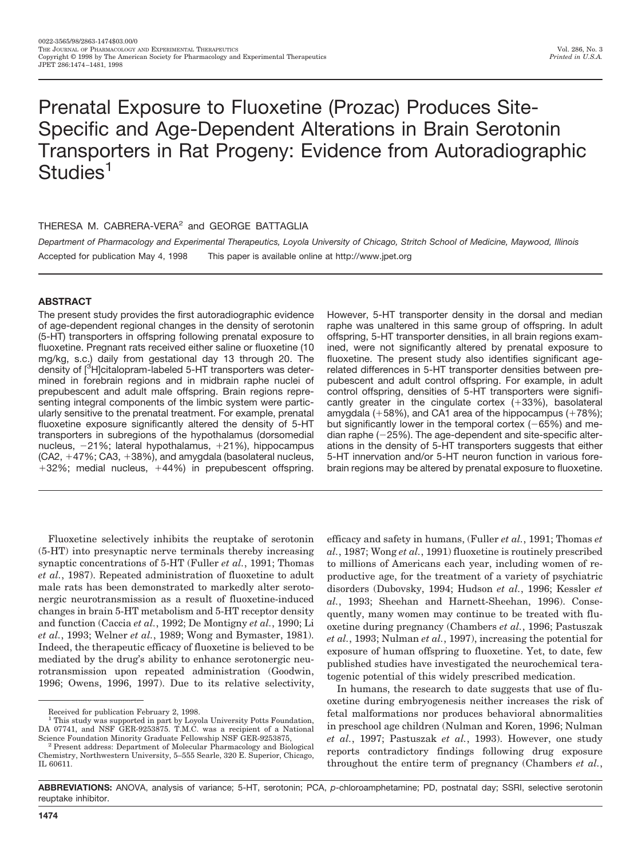# Prenatal Exposure to Fluoxetine (Prozac) Produces Site-Specific and Age-Dependent Alterations in Brain Serotonin Transporters in Rat Progeny: Evidence from Autoradiographic Studies<sup>1</sup>

# THERESA M. CABRERA-VERA<sup>2</sup> and GEORGE BATTAGLIA

*Department of Pharmacology and Experimental Therapeutics, Loyola University of Chicago, Stritch School of Medicine, Maywood, Illinois* Accepted for publication May 4, 1998 This paper is available online at http://www.jpet.org

# **ABSTRACT**

The present study provides the first autoradiographic evidence of age-dependent regional changes in the density of serotonin (5-HT) transporters in offspring following prenatal exposure to fluoxetine. Pregnant rats received either saline or fluoxetine (10 mg/kg, s.c.) daily from gestational day 13 through 20. The density of [<sup>3</sup>H]citalopram-labeled 5-HT transporters was determined in forebrain regions and in midbrain raphe nuclei of prepubescent and adult male offspring. Brain regions representing integral components of the limbic system were particularly sensitive to the prenatal treatment. For example, prenatal fluoxetine exposure significantly altered the density of 5-HT transporters in subregions of the hypothalamus (dorsomedial nucleus,  $-21\%$ ; lateral hypothalamus,  $+21\%$ ), hippocampus  $(CA2, +47\%; CA3, +38\%)$ , and amygdala (basolateral nucleus,  $+32\%$ ; medial nucleus,  $+44\%$ ) in prepubescent offspring.

Fluoxetine selectively inhibits the reuptake of serotonin (5-HT) into presynaptic nerve terminals thereby increasing synaptic concentrations of 5-HT (Fuller *et al.*, 1991; Thomas *et al.*, 1987). Repeated administration of fluoxetine to adult male rats has been demonstrated to markedly alter serotonergic neurotransmission as a result of fluoxetine-induced changes in brain 5-HT metabolism and 5-HT receptor density and function (Caccia *et al.*, 1992; De Montigny *et al.*, 1990; Li *et al.*, 1993; Welner *et al.*, 1989; Wong and Bymaster, 1981). Indeed, the therapeutic efficacy of fluoxetine is believed to be mediated by the drug's ability to enhance serotonergic neurotransmission upon repeated administration (Goodwin, 1996; Owens, 1996, 1997). Due to its relative selectivity,

However, 5-HT transporter density in the dorsal and median raphe was unaltered in this same group of offspring. In adult offspring, 5-HT transporter densities, in all brain regions examined, were not significantly altered by prenatal exposure to fluoxetine. The present study also identifies significant agerelated differences in 5-HT transporter densities between prepubescent and adult control offspring. For example, in adult control offspring, densities of 5-HT transporters were significantly greater in the cingulate cortex  $(+33%)$ , basolateral amygdala  $(+58%)$ , and CA1 area of the hippocampus  $(+78%)$ ; but significantly lower in the temporal cortex  $(-65%)$  and median raphe  $(-25%)$ . The age-dependent and site-specific alterations in the density of 5-HT transporters suggests that either 5-HT innervation and/or 5-HT neuron function in various forebrain regions may be altered by prenatal exposure to fluoxetine.

efficacy and safety in humans, (Fuller *et al.*, 1991; Thomas *et al.*, 1987; Wong *et al.*, 1991) fluoxetine is routinely prescribed to millions of Americans each year, including women of reproductive age, for the treatment of a variety of psychiatric disorders (Dubovsky, 1994; Hudson *et al.*, 1996; Kessler *et al.*, 1993; Sheehan and Harnett-Sheehan, 1996). Consequently, many women may continue to be treated with fluoxetine during pregnancy (Chambers *et al.*, 1996; Pastuszak *et al.*, 1993; Nulman *et al.*, 1997), increasing the potential for exposure of human offspring to fluoxetine. Yet, to date, few published studies have investigated the neurochemical teratogenic potential of this widely prescribed medication.

In humans, the research to date suggests that use of fluoxetine during embryogenesis neither increases the risk of fetal malformations nor produces behavioral abnormalities in preschool age children (Nulman and Koren, 1996; Nulman *et al.*, 1997; Pastuszak *et al.*, 1993). However, one study reports contradictory findings following drug exposure throughout the entire term of pregnancy (Chambers *et al.*,

**ABBREVIATIONS:** ANOVA, analysis of variance; 5-HT, serotonin; PCA, *p*-chloroamphetamine; PD, postnatal day; SSRI, selective serotonin reuptake inhibitor.

Received for publication February 2, 1998.

<sup>&</sup>lt;sup>1</sup> This study was supported in part by Loyola University Potts Foundation, DA 07741, and NSF GER-9253875. T.M.C. was a recipient of a National Science Foundation Minority Graduate Fellowship NSF GER-9253875.

 $2$  Present address: Department of Molecular Pharmacology and Biological Chemistry, Northwestern University, 5–555 Searle, 320 E. Superior, Chicago, IL 60611.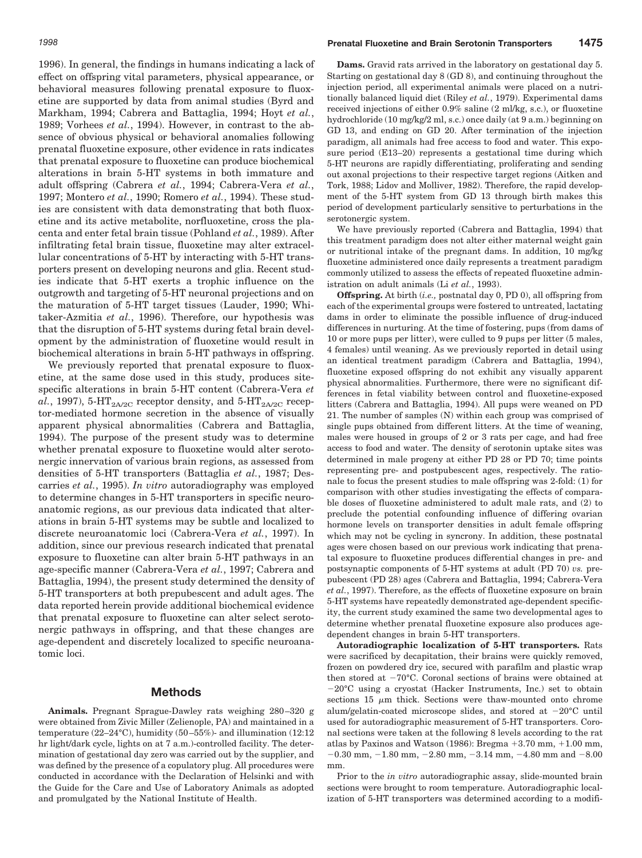1996). In general, the findings in humans indicating a lack of effect on offspring vital parameters, physical appearance, or behavioral measures following prenatal exposure to fluoxetine are supported by data from animal studies (Byrd and Markham, 1994; Cabrera and Battaglia, 1994; Hoyt *et al.*, 1989; Vorhees *et al.*, 1994). However, in contrast to the absence of obvious physical or behavioral anomalies following prenatal fluoxetine exposure, other evidence in rats indicates that prenatal exposure to fluoxetine can produce biochemical alterations in brain 5-HT systems in both immature and adult offspring (Cabrera *et al.*, 1994; Cabrera-Vera *et al.*, 1997; Montero *et al.*, 1990; Romero *et al.*, 1994). These studies are consistent with data demonstrating that both fluoxetine and its active metabolite, norfluoxetine, cross the placenta and enter fetal brain tissue (Pohland *et al.*, 1989). After infiltrating fetal brain tissue, fluoxetine may alter extracellular concentrations of 5-HT by interacting with 5-HT transporters present on developing neurons and glia. Recent studies indicate that 5-HT exerts a trophic influence on the outgrowth and targeting of 5-HT neuronal projections and on the maturation of 5-HT target tissues (Lauder, 1990; Whitaker-Azmitia *et al.*, 1996). Therefore, our hypothesis was that the disruption of 5-HT systems during fetal brain development by the administration of fluoxetine would result in biochemical alterations in brain 5-HT pathways in offspring.

We previously reported that prenatal exposure to fluoxetine, at the same dose used in this study, produces sitespecific alterations in brain 5-HT content (Cabrera-Vera *et*  $al.$ , 1997), 5-HT<sub>2A/2C</sub> receptor density, and 5-HT<sub>2A/2C</sub> receptor-mediated hormone secretion in the absence of visually apparent physical abnormalities (Cabrera and Battaglia, 1994). The purpose of the present study was to determine whether prenatal exposure to fluoxetine would alter serotonergic innervation of various brain regions, as assessed from densities of 5-HT transporters (Battaglia *et al.*, 1987; Descarries *et al.*, 1995). *In vitro* autoradiography was employed to determine changes in 5-HT transporters in specific neuroanatomic regions, as our previous data indicated that alterations in brain 5-HT systems may be subtle and localized to discrete neuroanatomic loci (Cabrera-Vera *et al.*, 1997). In addition, since our previous research indicated that prenatal exposure to fluoxetine can alter brain 5-HT pathways in an age-specific manner (Cabrera-Vera *et al.*, 1997; Cabrera and Battaglia, 1994), the present study determined the density of 5-HT transporters at both prepubescent and adult ages. The data reported herein provide additional biochemical evidence that prenatal exposure to fluoxetine can alter select serotonergic pathways in offspring, and that these changes are age-dependent and discretely localized to specific neuroanatomic loci.

## **Methods**

**Animals.** Pregnant Sprague-Dawley rats weighing 280–320 g were obtained from Zivic Miller (Zelienople, PA) and maintained in a temperature (22–24°C), humidity (50–55%)- and illumination (12:12 hr light/dark cycle, lights on at 7 a.m.)-controlled facility. The determination of gestational day zero was carried out by the supplier, and was defined by the presence of a copulatory plug. All procedures were conducted in accordance with the Declaration of Helsinki and with the Guide for the Care and Use of Laboratory Animals as adopted and promulgated by the National Institute of Health.

**Dams.** Gravid rats arrived in the laboratory on gestational day 5. Starting on gestational day 8 (GD 8), and continuing throughout the injection period, all experimental animals were placed on a nutritionally balanced liquid diet (Riley *et al.*, 1979). Experimental dams received injections of either 0.9% saline (2 ml/kg, s.c.), or fluoxetine hydrochloride (10 mg/kg/2 ml, s.c.) once daily (at 9 a.m.) beginning on GD 13, and ending on GD 20. After termination of the injection paradigm, all animals had free access to food and water. This exposure period (E13–20) represents a gestational time during which 5-HT neurons are rapidly differentiating, proliferating and sending out axonal projections to their respective target regions (Aitken and Tork, 1988; Lidov and Molliver, 1982). Therefore, the rapid development of the 5-HT system from GD 13 through birth makes this period of development particularly sensitive to perturbations in the serotonergic system.

We have previously reported (Cabrera and Battaglia, 1994) that this treatment paradigm does not alter either maternal weight gain or nutritional intake of the pregnant dams. In addition, 10 mg/kg fluoxetine administered once daily represents a treatment paradigm commonly utilized to assess the effects of repeated fluoxetine administration on adult animals (Li *et al.*, 1993).

**Offspring.** At birth (*i.e.,* postnatal day 0, PD 0), all offspring from each of the experimental groups were fostered to untreated, lactating dams in order to eliminate the possible influence of drug-induced differences in nurturing. At the time of fostering, pups (from dams of 10 or more pups per litter), were culled to 9 pups per litter (5 males, 4 females) until weaning. As we previously reported in detail using an identical treatment paradigm (Cabrera and Battaglia, 1994), fluoxetine exposed offspring do not exhibit any visually apparent physical abnormalities. Furthermore, there were no significant differences in fetal viability between control and fluoxetine-exposed litters (Cabrera and Battaglia, 1994). All pups were weaned on PD 21. The number of samples (N) within each group was comprised of single pups obtained from different litters. At the time of weaning, males were housed in groups of 2 or 3 rats per cage, and had free access to food and water. The density of serotonin uptake sites was determined in male progeny at either PD 28 or PD 70; time points representing pre- and postpubescent ages, respectively. The rationale to focus the present studies to male offspring was 2-fold: (1) for comparison with other studies investigating the effects of comparable doses of fluoxetine administered to adult male rats, and (2) to preclude the potential confounding influence of differing ovarian hormone levels on transporter densities in adult female offspring which may not be cycling in syncrony. In addition, these postnatal ages were chosen based on our previous work indicating that prenatal exposure to fluoxetine produces differential changes in pre- and postsynaptic components of 5-HT systems at adult (PD 70) *vs.* prepubescent (PD 28) ages (Cabrera and Battaglia, 1994; Cabrera-Vera *et al.*, 1997). Therefore, as the effects of fluoxetine exposure on brain 5-HT systems have repeatedly demonstrated age-dependent specificity, the current study examined the same two developmental ages to determine whether prenatal fluoxetine exposure also produces agedependent changes in brain 5-HT transporters.

**Autoradiographic localization of 5-HT transporters.** Rats were sacrificed by decapitation, their brains were quickly removed, frozen on powdered dry ice, secured with parafilm and plastic wrap then stored at  $-70^{\circ}$ C. Coronal sections of brains were obtained at  $-20^{\circ}$ C using a cryostat (Hacker Instruments, Inc.) set to obtain sections 15  $\mu$ m thick. Sections were thaw-mounted onto chrome alum/gelatin-coated microscope slides, and stored at  $-20^{\circ}\text{C}$  until used for autoradiographic measurement of 5-HT transporters. Coronal sections were taken at the following 8 levels according to the rat atlas by Paxinos and Watson (1986): Bregma  $+3.70$  mm,  $+1.00$  mm,  $-0.30$  mm,  $-1.80$  mm,  $-2.80$  mm,  $-3.14$  mm,  $-4.80$  mm and  $-8.00$ mm.

Prior to the *in vitro* autoradiographic assay, slide-mounted brain sections were brought to room temperature. Autoradiographic localization of 5-HT transporters was determined according to a modifi-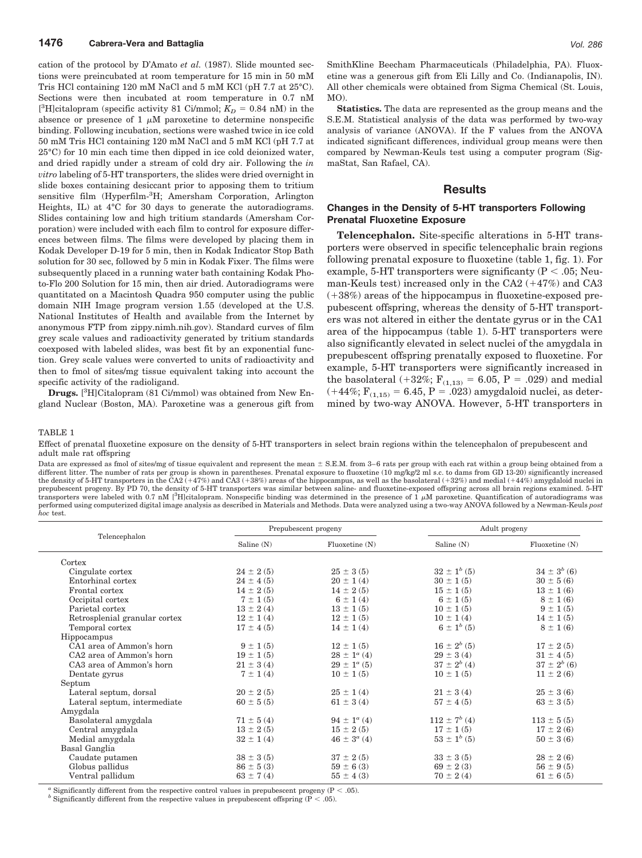cation of the protocol by D'Amato *et al.* (1987). Slide mounted sections were preincubated at room temperature for 15 min in 50 mM Tris HCl containing 120 mM NaCl and 5 mM KCl (pH 7.7 at 25°C). Sections were then incubated at room temperature in 0.7 nM [<sup>3</sup>H]citalopram (specific activity 81 Ci/mmol;  $K_D = 0.84$  nM) in the absence or presence of 1  $\mu$ M paroxetine to determine nonspecific binding. Following incubation, sections were washed twice in ice cold 50 mM Tris HCl containing 120 mM NaCl and 5 mM KCl (pH 7.7 at 25°C) for 10 min each time then dipped in ice cold deionized water, and dried rapidly under a stream of cold dry air. Following the *in vitro* labeling of 5-HT transporters, the slides were dried overnight in slide boxes containing desiccant prior to apposing them to tritium sensitive film (Hyperfilm-3H; Amersham Corporation, Arlington Heights, IL) at 4°C for 30 days to generate the autoradiograms. Slides containing low and high tritium standards (Amersham Corporation) were included with each film to control for exposure differences between films. The films were developed by placing them in Kodak Developer D-19 for 5 min, then in Kodak Indicator Stop Bath solution for 30 sec, followed by 5 min in Kodak Fixer. The films were subsequently placed in a running water bath containing Kodak Photo-Flo 200 Solution for 15 min, then air dried. Autoradiograms were quantitated on a Macintosh Quadra 950 computer using the public domain NIH Image program version 1.55 (developed at the U.S. National Institutes of Health and available from the Internet by anonymous FTP from zippy.nimh.nih.gov). Standard curves of film grey scale values and radioactivity generated by tritium standards coexposed with labeled slides, was best fit by an exponential function. Grey scale values were converted to units of radioactivity and then to fmol of sites/mg tissue equivalent taking into account the specific activity of the radioligand.

**Drugs.** [ 3 H]Citalopram (81 Ci/mmol) was obtained from New England Nuclear (Boston, MA). Paroxetine was a generous gift from SmithKline Beecham Pharmaceuticals (Philadelphia, PA). Fluoxetine was a generous gift from Eli Lilly and Co. (Indianapolis, IN). All other chemicals were obtained from Sigma Chemical (St. Louis, MO).

**Statistics.** The data are represented as the group means and the S.E.M. Statistical analysis of the data was performed by two-way analysis of variance (ANOVA). If the F values from the ANOVA indicated significant differences, individual group means were then compared by Newman-Keuls test using a computer program (SigmaStat, San Rafael, CA).

### **Results**

### **Changes in the Density of 5-HT transporters Following Prenatal Fluoxetine Exposure**

**Telencephalon.** Site-specific alterations in 5-HT transporters were observed in specific telencephalic brain regions following prenatal exposure to fluoxetine (table 1, fig. 1). For example, 5-HT transporters were significanty ( $P < .05$ ; Neuman-Keuls test) increased only in the CA2  $(+47%)$  and CA3  $(+38%)$  areas of the hippocampus in fluoxetine-exposed prepubescent offspring, whereas the density of 5-HT transporters was not altered in either the dentate gyrus or in the CA1 area of the hippocampus (table 1). 5-HT transporters were also significantly elevated in select nuclei of the amygdala in prepubescent offspring prenatally exposed to fluoxetine. For example, 5-HT transporters were significantly increased in the basolateral (+32%;  $F_{(1,13)} = 6.05$ , P = .029) and medial  $(+44\%, F_{(1,15)} = 6.45, P = .023)$  amygdaloid nuclei, as determined by two-way ANOVA. However, 5-HT transporters in

#### TABLE 1

Effect of prenatal fluoxetine exposure on the density of 5-HT transporters in select brain regions within the telencephalon of prepubescent and adult male rat offspring

Data are expressed as fmol of sites/mg of tissue equivalent and represent the mean  $\pm$  S.E.M. from 3–6 rats per group with each rat within a group being obtained from a different litter. The number of rats per group is shown in parentheses. Prenatal exposure to fluoxetine (10 mg/kg/2 ml s.c. to dams from GD 13-20) significantly increased the density of 5-HT transporters in the CA2 (+47%) and CA3 (+38%) areas of the hippocampus, as well as the basolateral (+32%) and medial (+44%) amygdaloid nuclei in prepubescent progeny. By PD 70, the density of 5-HT transporters was similar between saline- and fluoxetine-exposed offspring across all brain regions examined. 5-HT transporters were labeled with 0.7 nM [<sup>3</sup>H]citalopram. Nonspecific binding was determined in the presence of  $1 \mu$ M paroxetine. Quantification of autoradiograms was performed using computerized digital image analysis as described in Materials and Methods. Data were analyzed using a two-way ANOVA followed by a Newman-Keuls *post hoc* test.

| Telencephalon                 | Prepubescent progeny |                         | Adult progeny       |                    |
|-------------------------------|----------------------|-------------------------|---------------------|--------------------|
|                               | Saline (N)           | Fluoxetime(N)           | Saline (N)          | Fluoxetime(N)      |
| Cortex                        |                      |                         |                     |                    |
| Cingulate cortex              | $24 \pm 2(5)$        | $25 \pm 3(5)$           | $32 \pm 1^{b}$ (5)  | $34 \pm 3^{b}$ (6) |
| Entorhinal cortex             | $24 \pm 4(5)$        | $20 \pm 1(4)$           | $30 \pm 1(5)$       | $30 \pm 5(6)$      |
| Frontal cortex                | $14 \pm 2(5)$        | $14 \pm 2(5)$           | $15 \pm 1(5)$       | $13 \pm 1(6)$      |
| Occipital cortex              | $7 \pm 1(5)$         | $6 \pm 1(4)$            | $6 \pm 1(5)$        | $8 \pm 1(6)$       |
| Parietal cortex               | $13 \pm 2(4)$        | $13 \pm 1(5)$           | $10 \pm 1(5)$       | $9 \pm 1(5)$       |
| Retrosplenial granular cortex | $12 \pm 1(4)$        | $12 \pm 1(5)$           | $10 \pm 1(4)$       | $14 \pm 1(5)$      |
| Temporal cortex               | $17 \pm 4(5)$        | $14 \pm 1(4)$           | $6 \pm 1^{b}$ (5)   | $8 \pm 1(6)$       |
| Hippocampus                   |                      |                         |                     |                    |
| CA1 area of Ammon's horn      | $9 \pm 1(5)$         | $12 \pm 1(5)$           | $16 \pm 2^{b}$ (5)  | $17 \pm 2(5)$      |
| CA2 area of Ammon's horn      | $19 \pm 1(5)$        | $28 \pm 1^{\alpha}$ (4) | $29 \pm 3(4)$       | $31 \pm 4(5)$      |
| CA3 area of Ammon's horn      | $21 \pm 3(4)$        | $29 \pm 1^{\circ}$ (5)  | $37 \pm 2^{b} (4)$  | $37 \pm 2^{b}$ (6) |
| Dentate gyrus                 | $7 \pm 1(4)$         | $10 \pm 1(5)$           | $10 \pm 1(5)$       | $11 \pm 2(6)$      |
| Septum                        |                      |                         |                     |                    |
| Lateral septum, dorsal        | $20 \pm 2(5)$        | $25 \pm 1(4)$           | $21 \pm 3(4)$       | $25 \pm 3(6)$      |
| Lateral septum, intermediate  | $60 \pm 5(5)$        | $61 \pm 3(4)$           | $57 \pm 4(5)$       | $63 \pm 3(5)$      |
| Amygdala                      |                      |                         |                     |                    |
| Basolateral amygdala          | $71 \pm 5(4)$        | $94 \pm 1^{\circ}$ (4)  | $112 \pm 7^{b} (4)$ | $113 \pm 5(5)$     |
| Central amygdala              | $13 \pm 2(5)$        | $15 \pm 2(5)$           | $17 \pm 1(5)$       | $17 \pm 2(6)$      |
| Medial amygdala               | $32 \pm 1(4)$        | $46 \pm 3^{\circ}$ (4)  | $53 \pm 1^{b}$ (5)  | $50 \pm 3(6)$      |
| Basal Ganglia                 |                      |                         |                     |                    |
| Caudate putamen               | $38 \pm 3(5)$        | $37 \pm 2(5)$           | $33 \pm 3(5)$       | $28 \pm 2(6)$      |
| Globus pallidus               | $86 \pm 5(3)$        | $59 \pm 6(3)$           | $69 \pm 2(3)$       | $56 \pm 9(5)$      |
| Ventral pallidum              | $63 \pm 7(4)$        | $55 \pm 4(3)$           | $70 \pm 2(4)$       | $61 \pm 6(5)$      |

*a* Significantly different from the respective control values in prepubescent progeny (P < .05). *b* Significantly different from the respective values in prepubescent offspring (P < .05).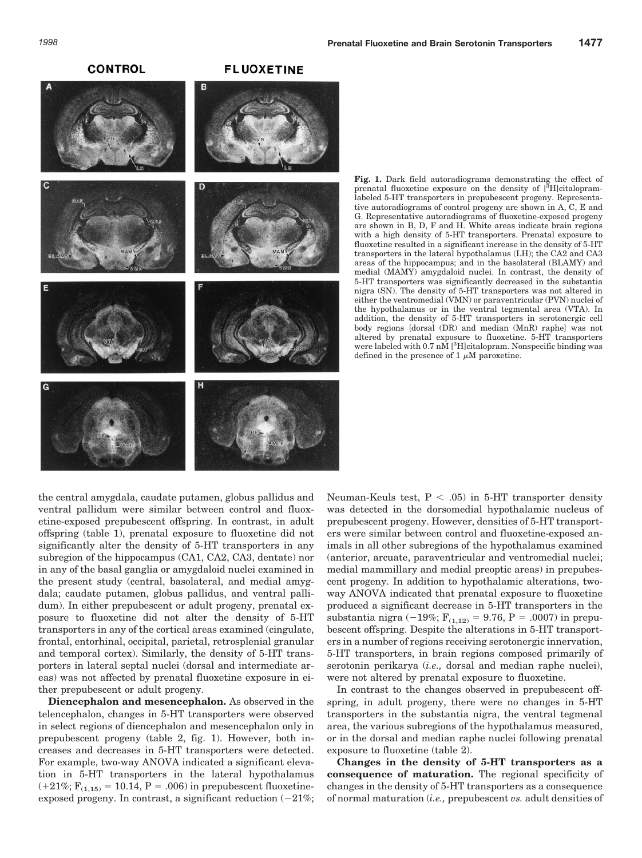**CONTROL** 

### **FLUOXETINE**



**Fig. 1.** Dark field autoradiograms demonstrating the effect of prenatal fluoxetine exposure on the density of [<sup>3</sup>H]citalopramlabeled 5-HT transporters in prepubescent progeny. Representative autoradiograms of control progeny are shown in A, C, E and G. Representative autoradiograms of fluoxetine-exposed progeny are shown in B, D, F and H. White areas indicate brain regions with a high density of 5-HT transporters. Prenatal exposure to fluoxetine resulted in a significant increase in the density of 5-HT transporters in the lateral hypothalamus (LH); the CA2 and CA3 areas of the hippocampus; and in the basolateral (BLAMY) and medial (MAMY) amygdaloid nuclei. In contrast, the density of 5-HT transporters was significantly decreased in the substantia nigra (SN). The density of 5-HT transporters was not altered in either the ventromedial (VMN) or paraventricular (PVN) nuclei of the hypothalamus or in the ventral tegmental area (VTA). In addition, the density of 5-HT transporters in serotonergic cell body regions [dorsal (DR) and median (MnR) raphe] was not altered by prenatal exposure to fluoxetine. 5-HT transporters were labeled with 0.7 nM [<sup>3</sup>H]citalopram. Nonspecific binding was defined in the presence of 1  $\mu$ M paroxetine.

the central amygdala, caudate putamen, globus pallidus and ventral pallidum were similar between control and fluoxetine-exposed prepubescent offspring. In contrast, in adult offspring (table 1), prenatal exposure to fluoxetine did not significantly alter the density of 5-HT transporters in any subregion of the hippocampus (CA1, CA2, CA3, dentate) nor in any of the basal ganglia or amygdaloid nuclei examined in the present study (central, basolateral, and medial amygdala; caudate putamen, globus pallidus, and ventral pallidum). In either prepubescent or adult progeny, prenatal exposure to fluoxetine did not alter the density of 5-HT transporters in any of the cortical areas examined (cingulate, frontal, entorhinal, occipital, parietal, retrosplenial granular and temporal cortex). Similarly, the density of 5-HT transporters in lateral septal nuclei (dorsal and intermediate areas) was not affected by prenatal fluoxetine exposure in either prepubescent or adult progeny.

**Diencephalon and mesencephalon.** As observed in the telencephalon, changes in 5-HT transporters were observed in select regions of diencephalon and mesencephalon only in prepubescent progeny (table 2, fig. 1). However, both increases and decreases in 5-HT transporters were detected. For example, two-way ANOVA indicated a significant elevation in 5-HT transporters in the lateral hypothalamus  $(+21\%; F_{(1,15)} = 10.14, P = .006)$  in prepubescent fluoxetineexposed progeny. In contrast, a significant reduction  $(-21\%;$  Neuman-Keuls test,  $P < .05$ ) in 5-HT transporter density was detected in the dorsomedial hypothalamic nucleus of prepubescent progeny. However, densities of 5-HT transporters were similar between control and fluoxetine-exposed animals in all other subregions of the hypothalamus examined (anterior, arcuate, paraventricular and ventromedial nuclei; medial mammillary and medial preoptic areas) in prepubescent progeny. In addition to hypothalamic alterations, twoway ANOVA indicated that prenatal exposure to fluoxetine produced a significant decrease in 5-HT transporters in the substantia nigra (-19%;  $F_{(1,12)} = 9.76$ , P = .0007) in prepubescent offspring. Despite the alterations in 5-HT transporters in a number of regions receiving serotonergic innervation, 5-HT transporters, in brain regions composed primarily of serotonin perikarya (*i.e.,* dorsal and median raphe nuclei), were not altered by prenatal exposure to fluoxetine.

In contrast to the changes observed in prepubescent offspring, in adult progeny, there were no changes in 5-HT transporters in the substantia nigra, the ventral tegmenal area, the various subregions of the hypothalamus measured, or in the dorsal and median raphe nuclei following prenatal exposure to fluoxetine (table 2).

**Changes in the density of 5-HT transporters as a consequence of maturation.** The regional specificity of changes in the density of 5-HT transporters as a consequence of normal maturation (*i.e.,* prepubescent *vs.* adult densities of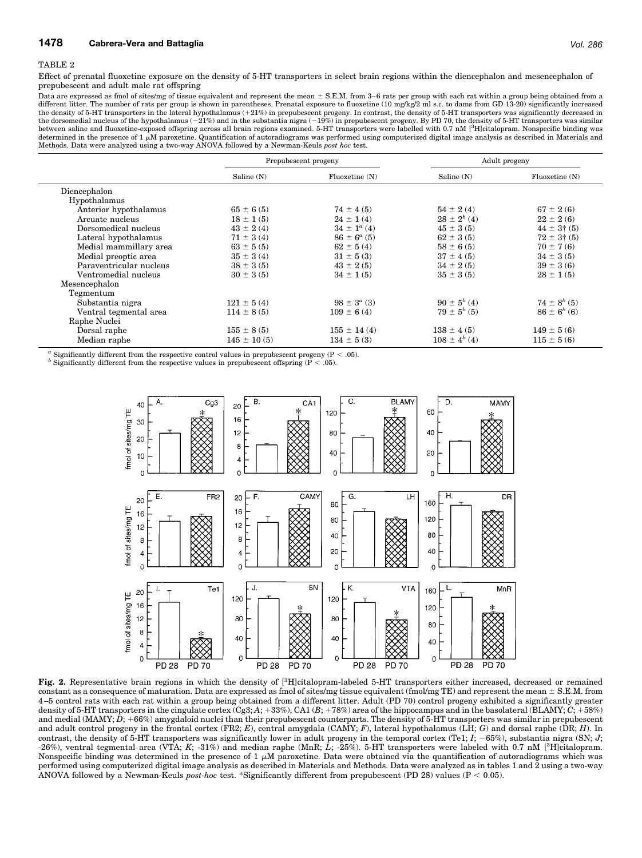#### TABLE 2

Effect of prenatal fluoxetine exposure on the density of 5-HT transporters in select brain regions within the diencephalon and mesencephalon of prepubescent and adult male rat offspring

Data are expressed as fmol of sites/mg of tissue equivalent and represent the mean  $\pm$  S.E.M. from 3-6 rats per group with each rat within a group being obtained from a different litter. The number of rats per group is shown in parentheses. Prenatal exposure to fluoxetine (10 mg/kg/2 ml s.c. to dams from GD 13-20) significantly increased<br>the density of 5-HT transporters in the lateral hyp the dorsomedial nucleus of the hypothalamus ( $-21\%$ ) and in the substantia nigra ( $-19\%$ ) in prepubescent progeny. By PD 70, the density of 5-HT transporters was similar between saline and fluoxetine-exposed offspring across all brain regions examined. 5-HT transporters were labelled with 0.7 nM [<sup>3</sup>H]citalopram. Nonspecific binding was determined in the presence of 1  $\mu$ M paroxetine. Quantification of autoradiograms was performed using computerized digital image analysis as described in Materials and Methods. Data were analyzed using a two-way ANOVA followed by a Newman-Keuls *post hoc* test.

|                         | Prepubescent progeny |                        | Adult progeny       |                        |
|-------------------------|----------------------|------------------------|---------------------|------------------------|
|                         | Saline (N)           | Fluoxetime(N)          | Saline (N)          | Fluoxetime(N)          |
| Diencephalon            |                      |                        |                     |                        |
| Hypothalamus            |                      |                        |                     |                        |
| Anterior hypothalamus   | $65 \pm 6(5)$        | $74 \pm 4(5)$          | $54 \pm 2(4)$       | $67 \pm 2(6)$          |
| Arcuate nucleus         | $18 \pm 1(5)$        | $24 \pm 1(4)$          | $28 \pm 2^{b} (4)$  | $22 \pm 2(6)$          |
| Dorsomedical nucleus    | $43 \pm 2(4)$        | $34 \pm 1^{\circ}$ (4) | $45 \pm 3(5)$       | $44 \pm 3 \dagger (5)$ |
| Lateral hypothalamus    | $71 \pm 3(4)$        | $86 \pm 6^a$ (5)       | $62 \pm 3(5)$       | $72 \pm 3 \dagger (5)$ |
| Medial mammillary area  | $63 \pm 5(5)$        | $62 \pm 5(4)$          | $58 \pm 6(5)$       | $70 \pm 7(6)$          |
| Medial preoptic area    | $35 \pm 3(4)$        | $31 \pm 5(3)$          | $37 \pm 4(5)$       | $34 \pm 3(5)$          |
| Paraventricular nucleus | $38 \pm 3(5)$        | $43 \pm 2(5)$          | $34 \pm 2(5)$       | $39 \pm 3(6)$          |
| Ventromedial nucleus    | $30 \pm 3(5)$        | $34 \pm 1(5)$          | $35 \pm 3(5)$       | $28 \pm 1(5)$          |
| Mesencephalon           |                      |                        |                     |                        |
| Tegmentum               |                      |                        |                     |                        |
| Substantia nigra        | $121 \pm 5(4)$       | $98 \pm 3^a$ (3)       | $90 \pm 5^{b} (4)$  | $74 \pm 8^{b}$ (5)     |
| Ventral tegmental area  | $114 \pm 8(5)$       | $109 \pm 6(4)$         | $79 \pm 5^{b}$ (5)  | $86 \pm 6^{b}$ (6)     |
| Raphe Nuclei            |                      |                        |                     |                        |
| Dorsal raphe            | $155 \pm 8(5)$       | $155 \pm 14(4)$        | $138 \pm 4(5)$      | $149 \pm 5(6)$         |
| Median raphe            | $145 \pm 10(5)$      | $134 \pm 5(3)$         | $108 \pm 4^{b} (4)$ | $115 \pm 5(6)$         |

 $^a$  Significantly different from the respective control values in prepubescent progeny (P < .05). *b* Significantly different from the respective values in prepubescent offspring (P < .05).



Fig. 2. Representative brain regions in which the density of [<sup>3</sup>H]citalopram-labeled 5-HT transporters either increased, decreased or remained constant as a consequence of maturation. Data are expressed as fmol of sites/mg tissue equivalent (fmol/mg TE) and represent the mean  $\pm$  S.E.M. from 4–5 control rats with each rat within a group being obtained from a different litter. Adult (PD 70) control progeny exhibited a significantly greater density of 5-HT transporters in the cingulate cortex (Cg3; A; +33%), CA1 (B; +78%) area of the hippocampus and in the basolateral (BLAMY;  $C$ ; +58%) and medial (MAMY; *D*; +66%) amygdaloid nuclei than their prepubescent counterparts. The density of 5-HT transporters was similar in prepubescent and adult control progeny in the frontal cortex (FR2; *E*), central amygdala (CAMY; *F*), lateral hypothalamus (LH; *G*) and dorsal raphe (DR; *H*). In contrast, the density of 5-HT transporters was significantly lower in adult progeny in the temporal cortex (Te1;  $I$ ;  $-65\%$ ), substantia nigra (SN; *J*; -26%), ventral tegmental area (VTA; *K*; -31%) and median raphe (MnR; *L*; -25%). 5-HT transporters were labeled with 0.7 nM [3 H]citalopram. Nonspecific binding was determined in the presence of  $1 \mu$ M paroxetine. Data were obtained via the quantification of autoradiograms which was performed using computerized digital image analysis as described in Materials and Methods. Data were analyzed as in tables 1 and 2 using a two-way ANOVA followed by a Newman-Keuls *post-hoc* test. \*Significantly different from prepubescent (PD 28) values (P , 0.05).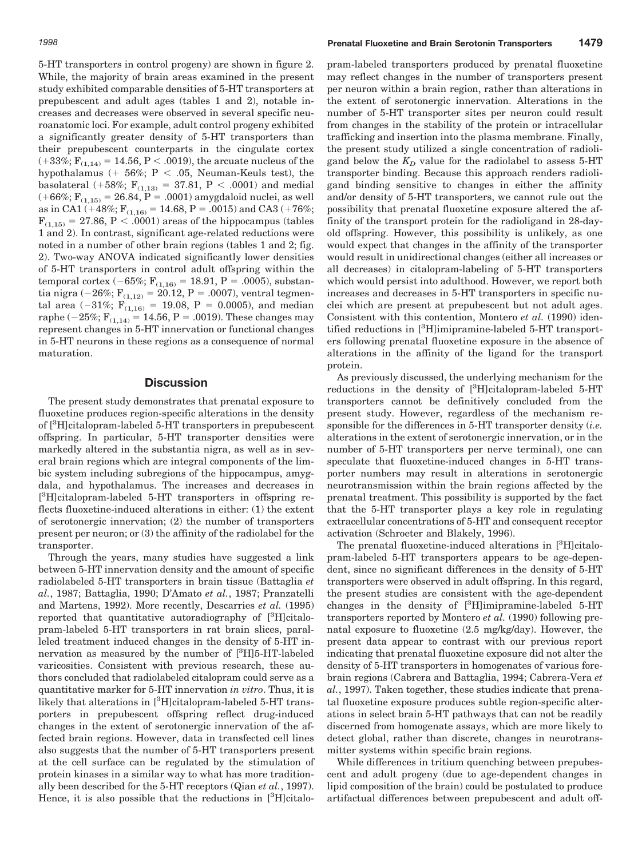5-HT transporters in control progeny) are shown in figure 2. While, the majority of brain areas examined in the present study exhibited comparable densities of 5-HT transporters at prepubescent and adult ages (tables 1 and 2), notable increases and decreases were observed in several specific neuroanatomic loci. For example, adult control progeny exhibited a significantly greater density of 5-HT transporters than their prepubescent counterparts in the cingulate cortex  $(+33\%, F_{(1,14)} = 14.56, P < .0019)$ , the arcuate nucleus of the hypothalamus (+ 56%; P < .05, Neuman-Keuls test), the basolateral (+58%;  $F_{(1,13)} = 37.81$ , P < .0001) and medial  $(+66\%;$   $F_{(1,15)} = 26.84, P = .0001)$  amygdaloid nuclei, as well as in CA1 (+48%;  $F_{(1,16)} = 14.68$ , P = .0015) and CA3 (+76%;  $F_{(1,15)} = 27.86, P < .0001$  areas of the hippocampus (tables 1 and 2). In contrast, significant age-related reductions were noted in a number of other brain regions (tables 1 and 2; fig. 2). Two-way ANOVA indicated significantly lower densities of 5-HT transporters in control adult offspring within the temporal cortex  $(-65\%;$  F<sub>(1,16)</sub> = 18.91, P = .0005), substantia nigra (-26%;  $F_{(1,12)} = 20.12$ , P = .0007), ventral tegmental area (-31%;  $F_{(1,16)} = 19.08$ , P = 0.0005), and median raphe ( $-25\%$ ;  $F_{(1,14)} = 14.56$ , P = .0019). These changes may represent changes in 5-HT innervation or functional changes in 5-HT neurons in these regions as a consequence of normal maturation.

# **Discussion**

The present study demonstrates that prenatal exposure to fluoxetine produces region-specific alterations in the density of [3 H]citalopram-labeled 5-HT transporters in prepubescent offspring. In particular, 5-HT transporter densities were markedly altered in the substantia nigra, as well as in several brain regions which are integral components of the limbic system including subregions of the hippocampus, amygdala, and hypothalamus. The increases and decreases in [<sup>3</sup>H]citalopram-labeled 5-HT transporters in offspring reflects fluoxetine-induced alterations in either: (1) the extent of serotonergic innervation; (2) the number of transporters present per neuron; or (3) the affinity of the radiolabel for the transporter.

Through the years, many studies have suggested a link between 5-HT innervation density and the amount of specific radiolabeled 5-HT transporters in brain tissue (Battaglia *et al.*, 1987; Battaglia, 1990; D'Amato *et al.*, 1987; Pranzatelli and Martens, 1992). More recently, Descarries *et al.* (1995) reported that quantitative autoradiography of [3H]citalopram-labeled 5-HT transporters in rat brain slices, paralleled treatment induced changes in the density of 5-HT innervation as measured by the number of [3H]5-HT-labeled varicosities. Consistent with previous research, these authors concluded that radiolabeled citalopram could serve as a quantitative marker for 5-HT innervation *in vitro*. Thus, it is likely that alterations in [<sup>3</sup>H]citalopram-labeled 5-HT transporters in prepubescent offspring reflect drug-induced changes in the extent of serotonergic innervation of the affected brain regions. However, data in transfected cell lines also suggests that the number of 5-HT transporters present at the cell surface can be regulated by the stimulation of protein kinases in a similar way to what has more traditionally been described for the 5-HT receptors (Qian *et al.*, 1997). Hence, it is also possible that the reductions in [3H]citalopram-labeled transporters produced by prenatal fluoxetine may reflect changes in the number of transporters present per neuron within a brain region, rather than alterations in the extent of serotonergic innervation. Alterations in the number of 5-HT transporter sites per neuron could result from changes in the stability of the protein or intracellular trafficking and insertion into the plasma membrane. Finally, the present study utilized a single concentration of radioligand below the  $K_D$  value for the radiolabel to assess 5-HT transporter binding. Because this approach renders radioligand binding sensitive to changes in either the affinity and/or density of 5-HT transporters, we cannot rule out the possibility that prenatal fluoxetine exposure altered the affinity of the transport protein for the radioligand in 28-dayold offspring. However, this possibility is unlikely, as one would expect that changes in the affinity of the transporter would result in unidirectional changes (either all increases or all decreases) in citalopram-labeling of 5-HT transporters which would persist into adulthood. However, we report both increases and decreases in 5-HT transporters in specific nuclei which are present at prepubescent but not adult ages. Consistent with this contention, Montero *et al.* (1990) identified reductions in [<sup>3</sup>H]imipramine-labeled 5-HT transporters following prenatal fluoxetine exposure in the absence of alterations in the affinity of the ligand for the transport protein.

As previously discussed, the underlying mechanism for the reductions in the density of [<sup>3</sup>H]citalopram-labeled 5-HT transporters cannot be definitively concluded from the present study. However, regardless of the mechanism responsible for the differences in 5-HT transporter density (*i.e.* alterations in the extent of serotonergic innervation, or in the number of 5-HT transporters per nerve terminal), one can speculate that fluoxetine-induced changes in 5-HT transporter numbers may result in alterations in serotonergic neurotransmission within the brain regions affected by the prenatal treatment. This possibility is supported by the fact that the 5-HT transporter plays a key role in regulating extracellular concentrations of 5-HT and consequent receptor activation (Schroeter and Blakely, 1996).

The prenatal fluoxetine-induced alterations in [<sup>3</sup>H]citalopram-labeled 5-HT transporters appears to be age-dependent, since no significant differences in the density of 5-HT transporters were observed in adult offspring. In this regard, the present studies are consistent with the age-dependent changes in the density of [<sup>3</sup>H]imipramine-labeled 5-HT transporters reported by Montero *et al.* (1990) following prenatal exposure to fluoxetine (2.5 mg/kg/day). However, the present data appear to contrast with our previous report indicating that prenatal fluoxetine exposure did not alter the density of 5-HT transporters in homogenates of various forebrain regions (Cabrera and Battaglia, 1994; Cabrera-Vera *et al.*, 1997). Taken together, these studies indicate that prenatal fluoxetine exposure produces subtle region-specific alterations in select brain 5-HT pathways that can not be readily discerned from homogenate assays, which are more likely to detect global, rather than discrete, changes in neurotransmitter systems within specific brain regions.

While differences in tritium quenching between prepubescent and adult progeny (due to age-dependent changes in lipid composition of the brain) could be postulated to produce artifactual differences between prepubescent and adult off-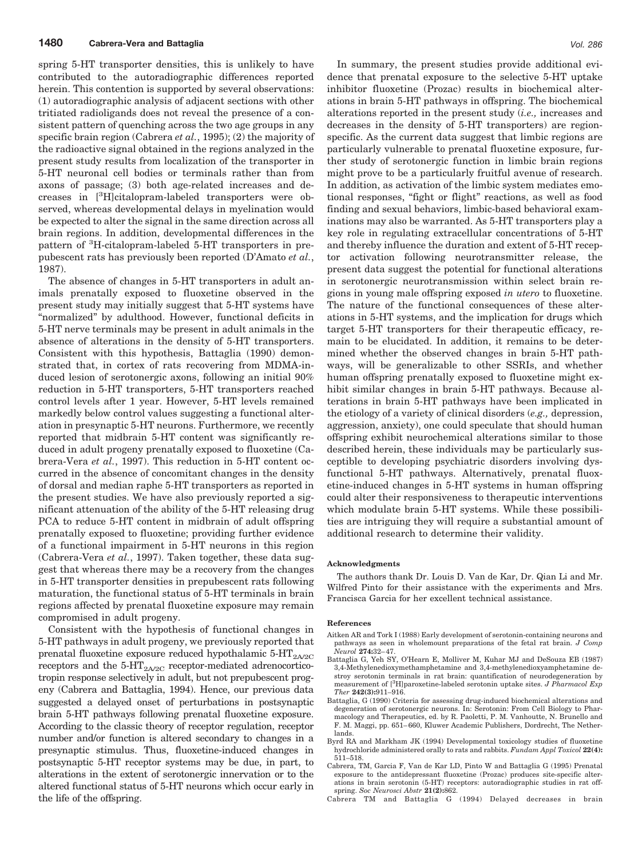spring 5-HT transporter densities, this is unlikely to have contributed to the autoradiographic differences reported herein. This contention is supported by several observations: (1) autoradiographic analysis of adjacent sections with other tritiated radioligands does not reveal the presence of a consistent pattern of quenching across the two age groups in any specific brain region (Cabrera *et al.*, 1995); (2) the majority of the radioactive signal obtained in the regions analyzed in the present study results from localization of the transporter in 5-HT neuronal cell bodies or terminals rather than from axons of passage; (3) both age-related increases and decreases in [<sup>3</sup> H]citalopram-labeled transporters were observed, whereas developmental delays in myelination would be expected to alter the signal in the same direction across all brain regions. In addition, developmental differences in the pattern of <sup>3</sup>H-citalopram-labeled 5-HT transporters in prepubescent rats has previously been reported (D'Amato *et al.*, 1987).

The absence of changes in 5-HT transporters in adult animals prenatally exposed to fluoxetine observed in the present study may initially suggest that 5-HT systems have "normalized" by adulthood. However, functional deficits in 5-HT nerve terminals may be present in adult animals in the absence of alterations in the density of 5-HT transporters. Consistent with this hypothesis, Battaglia (1990) demonstrated that, in cortex of rats recovering from MDMA-induced lesion of serotonergic axons, following an initial 90% reduction in 5-HT transporters, 5-HT transporters reached control levels after 1 year. However, 5-HT levels remained markedly below control values suggesting a functional alteration in presynaptic 5-HT neurons. Furthermore, we recently reported that midbrain 5-HT content was significantly reduced in adult progeny prenatally exposed to fluoxetine (Cabrera-Vera *et al.*, 1997). This reduction in 5-HT content occurred in the absence of concomitant changes in the density of dorsal and median raphe 5-HT transporters as reported in the present studies. We have also previously reported a significant attenuation of the ability of the 5-HT releasing drug PCA to reduce 5-HT content in midbrain of adult offspring prenatally exposed to fluoxetine; providing further evidence of a functional impairment in 5-HT neurons in this region (Cabrera-Vera *et al.*, 1997). Taken together, these data suggest that whereas there may be a recovery from the changes in 5-HT transporter densities in prepubescent rats following maturation, the functional status of 5-HT terminals in brain regions affected by prenatal fluoxetine exposure may remain compromised in adult progeny.

Consistent with the hypothesis of functional changes in 5-HT pathways in adult progeny, we previously reported that prenatal fluoxetine exposure reduced hypothalamic  $5-HT_{2A/2C}$ receptors and the  $5-HT<sub>2A/2C</sub>$  receptor-mediated adrenocorticotropin response selectively in adult, but not prepubescent progeny (Cabrera and Battaglia, 1994). Hence, our previous data suggested a delayed onset of perturbations in postsynaptic brain 5-HT pathways following prenatal fluoxetine exposure. According to the classic theory of receptor regulation, receptor number and/or function is altered secondary to changes in a presynaptic stimulus. Thus, fluoxetine-induced changes in postsynaptic 5-HT receptor systems may be due, in part, to alterations in the extent of serotonergic innervation or to the altered functional status of 5-HT neurons which occur early in the life of the offspring.

In summary, the present studies provide additional evidence that prenatal exposure to the selective 5-HT uptake inhibitor fluoxetine (Prozac) results in biochemical alterations in brain 5-HT pathways in offspring. The biochemical alterations reported in the present study (*i.e.,* increases and decreases in the density of 5-HT transporters) are regionspecific. As the current data suggest that limbic regions are particularly vulnerable to prenatal fluoxetine exposure, further study of serotonergic function in limbic brain regions might prove to be a particularly fruitful avenue of research. In addition, as activation of the limbic system mediates emotional responses, "fight or flight" reactions, as well as food finding and sexual behaviors, limbic-based behavioral examinations may also be warranted. As 5-HT transporters play a key role in regulating extracellular concentrations of 5-HT and thereby influence the duration and extent of 5-HT receptor activation following neurotransmitter release, the present data suggest the potential for functional alterations in serotonergic neurotransmission within select brain regions in young male offspring exposed *in utero* to fluoxetine. The nature of the functional consequences of these alterations in 5-HT systems, and the implication for drugs which target 5-HT transporters for their therapeutic efficacy, remain to be elucidated. In addition, it remains to be determined whether the observed changes in brain 5-HT pathways, will be generalizable to other SSRIs, and whether human offspring prenatally exposed to fluoxetine might exhibit similar changes in brain 5-HT pathways. Because alterations in brain 5-HT pathways have been implicated in the etiology of a variety of clinical disorders (*e.g.,* depression, aggression, anxiety), one could speculate that should human offspring exhibit neurochemical alterations similar to those described herein, these individuals may be particularly susceptible to developing psychiatric disorders involving dysfunctional 5-HT pathways. Alternatively, prenatal fluoxetine-induced changes in 5-HT systems in human offspring could alter their responsiveness to therapeutic interventions which modulate brain 5-HT systems. While these possibilities are intriguing they will require a substantial amount of additional research to determine their validity.

#### **Acknowledgments**

The authors thank Dr. Louis D. Van de Kar, Dr. Qian Li and Mr. Wilfred Pinto for their assistance with the experiments and Mrs. Francisca Garcia for her excellent technical assistance.

#### **References**

- Aitken AR and Tork I (1988) Early development of serotonin-containing neurons and pathways as seen in wholemount preparations of the fetal rat brain. *J Comp Neurol* **274:**32–47.
- Battaglia G, Yeh SY, O'Hearn E, Molliver M, Kuhar MJ and DeSouza EB (1987) 3,4-Methylenedioxymethamphetamine and 3,4-methylenedioxyamphetamine destroy serotonin terminals in rat brain: quantification of neurodegeneration by measurement of [3 H]paroxetine-labeled serotonin uptake sites. *J Pharmacol Exp Ther* **242(3):**911–916.
- Battaglia, G (1990) Criteria for assessing drug-induced biochemical alterations and degeneration of serotonergic neurons. In: Serotonin: From Cell Biology to Pharmacology and Therapeutics, ed. by R. Paoletti, P. M. Vanhoutte, N. Brunello and F. M. Maggi, pp. 651–660, Kluwer Academic Publishers, Dordrecht, The Netherlands.
- Byrd RA and Markham JK (1994) Developmental toxicology studies of fluoxetine hydrochloride administered orally to rats and rabbits. *Fundam Appl Toxicol* **22(4):** 511–518.
- Cabrera, TM, Garcia F, Van de Kar LD, Pinto W and Battaglia G (1995) Prenatal exposure to the antidepressant fluoxetine (Prozac) produces site-specific alterations in brain serotonin (5-HT) receptors: autoradiographic studies in rat offspring. *Soc Neurosci Abstr* **21(2):**862.
- Cabrera TM and Battaglia G (1994) Delayed decreases in brain